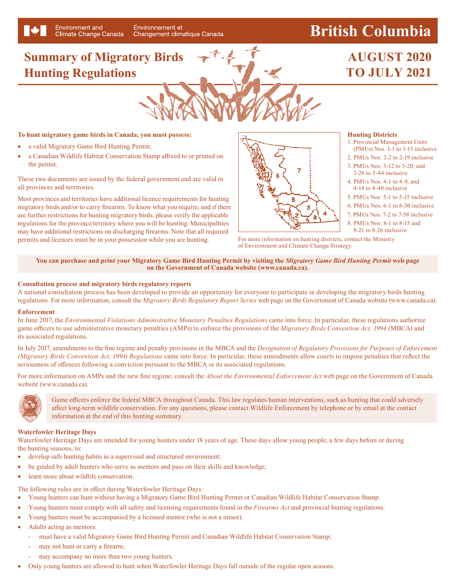## **British Columbia**

# **Summary of Migratory Birds**

Environnement et

Changement climatique Canada

### **AUGUST 2020 TO JULY 2021**



#### **To hunt migratory game birds in Canada, you must possess:**

•a valid Migratory Game Bird Hunting Permit;

**Hunting Regulations**

Environment and

Climate Change Canada

• a Canadian Wildlife Habitat Conservation Stamp affixed to or printed on the permit.

These two documents are issued by the federal government and are valid in all provinces and territories.

Most provinces and territories have additional licence requirements for hunting migratory birds and/or to carry firearms. To know what you require, and if there are further restrictions for hunting migratory birds, please verify the applicable regulations for the province/territory where you will be hunting. Municipalities may have additional restrictions on discharging firearms. Note that all required permits and licences must be in your possession while you are hunting.



#### **Hunting Districts**

- 1. Provincial Management Units (PMUs) Nos. 1-1 to 1-15 inclusive
- 2. PMUs Nos. 2-2 to 2-19 inclusive
- 3. PMUs Nos. 3-12 to 3-20, and 3-26 to 3-44 inclusive
- 4. PMUs Nos. 4-1 to 4-9, and 4-14 to 4-40 inclusive
- 5. PMUs Nos. 5-1 to 5-15 inclusive
- 6. PMUs Nos. 6-1 to 6-30 inclusive
- 7. PMUs Nos. 7-2 to 7-58 inclusive
- 8. PMUs Nos. 8-1 to 8-15 and 8-21 to 8-26 inclusive

For more information on hunting districts, contact the Ministry of Environment and Climate Change Strategy.

#### **You can purchase and print your Migratory Game Bird Hunting Permit by visiting the** *Migratory Game Bird Hunting Permit* **web page on the Government of Canada website ([www.canada.ca](http://www.canada.ca)).**

#### **Consultation process and migratory birds regulatory reports**

A national consultation process has been developed to provide an opportunity for everyone to participate in developing the migratory birds hunting regulations. For more information, consult the *Migratory Birds Regulatory Report Series* web page on the Government of Canada website [\(www.canada.ca](http://www.canada.ca)).

#### **Enforcement**

In June 2017, the *Environmental Violations Administrative Monetary Penalties Regulations* came into force. In particular, these regulations authorize game officers to use administrative monetary penalties (AMPs) to enforce the provisions of the *Migratory Birds Convention Act, 1994* (MBCA) and its associated regulations.

In July 2017, amendments to the fine regime and penalty provisions in the MBCA and the *Designation of Regulatory Provisions for Purposes of Enforcement (Migratory Birds Convention Act, 1994) Regulations* came into force. In particular, these amendments allow courts to impose penalties that reflect the seriousness of offences following a conviction pursuant to the MBCA or its associated regulations.

For more information on AMPs and the new fine regime, consult the *About the Environmental Enforcement Act* web page on the Government of Canada website [\(www.canada.ca\)](http://www.canada.ca).



•

Game officers enforce the federal MBCA throughout Canada. This law regulates human interventions, such as hunting that could adversely affect long-term wildlife conservation. For any questions, please contact Wildlife Enforcement by telephone or by email at the contact information at the end of this hunting summary.

#### **Waterfowler Heritage Days**

Waterfowler Heritage Days are intended for young hunters under 18 years of age. These days allow young people, a few days before or during the hunting seasons, to:

- •develop safe hunting habits in a supervised and structured environment;
- •be guided by adult hunters who serve as mentors and pass on their skills and knowledge;
- •learn more about wildlife conservation.

The following rules are in effect during Waterfowler Heritage Days:

- •Young hunters can hunt without having a Migratory Game Bird Hunting Permit or Canadian Wildlife Habitat Conservation Stamp.
- Young hunters must comply with all safety and licensing requirements found in the *Firearms Act* and provincial hunting regulations.
- •Young hunters must be accompanied by a licensed mentor (who is not a minor).
- • Adults acting as mentors:
	- must have a valid Migratory Game Bird Hunting Permit and Canadian Wildlife Habitat Conservation Stamp;
	- may not hunt or carry a firearm;
	- may accompany no more than two young hunters.
- •Only young hunters are allowed to hunt when Waterfowler Heritage Days fall outside of the regular open seasons.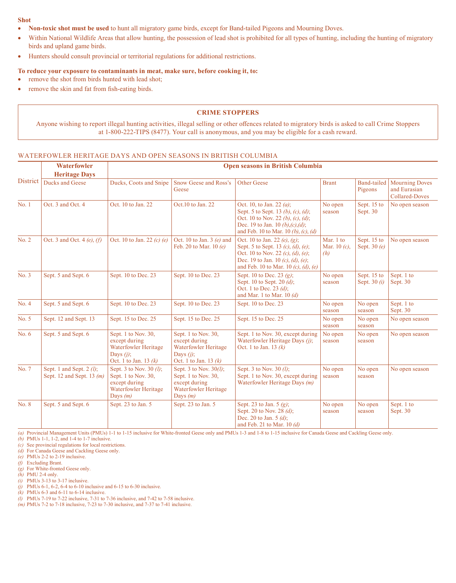#### **Shot**

- •**Non-toxic shot must be used** to hunt all migratory game birds, except for Band-tailed Pigeons and Mourning Doves.
- • Within National Wildlife Areas that allow hunting, the possession of lead shot is prohibited for all types of hunting, including the hunting of migratory birds and upland game birds.
- •Hunters should consult provincial or territorial regulations for additional restrictions.

#### **To reduce your exposure to contaminants in meat, make sure, before cooking it, to:**

- •remove the shot from birds hunted with lead shot;
- •remove the skin and fat from fish-eating birds.

#### **CRIME STOPPERS**

Anyone wishing to report illegal hunting activities, illegal selling or other offences related to migratory birds is asked to call Crime Stoppers at 1-800-222-TIPS (8477). Your call is anonymous, and you may be eligible for a cash reward.

#### WATERFOWLER HERITAGE DAYS AND OPEN SEASONS IN BRITISH COLUMBIA

|          | <b>Waterfowler</b><br><b>Heritage Days</b><br><b>Ducks and Geese</b> | <b>Open seasons in British Columbia</b>                                                                 |                                                                                                         |                                                                                                                                                                                                                |                                    |                                                   |                                                                           |  |  |
|----------|----------------------------------------------------------------------|---------------------------------------------------------------------------------------------------------|---------------------------------------------------------------------------------------------------------|----------------------------------------------------------------------------------------------------------------------------------------------------------------------------------------------------------------|------------------------------------|---------------------------------------------------|---------------------------------------------------------------------------|--|--|
| District |                                                                      | Ducks, Coots and Snipe                                                                                  | Snow Geese and Ross's<br>Geese                                                                          | <b>Other Geese</b>                                                                                                                                                                                             | <b>Brant</b>                       | Band-tailed<br>Pigeons<br>Sept. 15 to<br>Sept. 30 | <b>Mourning Doves</b><br>and Eurasian<br>Collared-Doves<br>No open season |  |  |
| No. 1    | Oct. 3 and Oct. 4                                                    | Oct. 10 to Jan. 22                                                                                      | Oct.10 to Jan. 22                                                                                       | Oct. 10, to Jan. 22 ( <i>a</i> );<br>Sept. 5 to Sept. 13 (b), (c), (d);<br>Oct. 10 to Nov. 22 (b), (c), (d);<br>Dec. 19 to Jan. 10 $(b)$ , $(c)$ , $(d)$ ;<br>and Feb. 10 to Mar. 10 $(b)$ , $(c)$ , $(d)$     | No open<br>season                  |                                                   |                                                                           |  |  |
| No. 2    | Oct. 3 and Oct. 4 $(e)$ , $(f)$                                      | Oct. 10 to Jan. 22 $(c)$ $(e)$                                                                          | Oct. 10 to Jan. 3 $(e)$ and<br>Feb. 20 to Mar. 10 $(e)$                                                 | Oct. 10 to Jan. 22 (e), (g);<br>Sept. 5 to Sept. 13 (c), (d), (e);<br>Oct. 10 to Nov. 22 $(c)$ , $(d)$ , $(e)$ ;<br>Dec. 19 to Jan. 10 $(c)$ , $(d)$ , $(e)$ ;<br>and Feb. 10 to Mar. 10 $(c)$ , $(d)$ , $(e)$ | Mar. 1 to<br>Mar. $10(c)$ ,<br>(h) | Sept. 15 to<br>Sept. 30 $(e)$                     | No open season                                                            |  |  |
| No. 3    | Sept. 5 and Sept. 6                                                  | Sept. 10 to Dec. 23                                                                                     | Sept. 10 to Dec. 23                                                                                     | Sept. 10 to Dec. 23 $(g)$ ;<br>Sept. 10 to Sept. 20 (d);<br>Oct. 1 to Dec. 23 (d);<br>and Mar. 1 to Mar. 10 $(d)$                                                                                              | No open<br>season                  | Sept. 15 to<br>Sept. $30(i)$                      | Sept. 1 to<br>Sept. 30                                                    |  |  |
| No. 4    | Sept. 5 and Sept. 6                                                  | Sept. 10 to Dec. 23                                                                                     | Sept. 10 to Dec. 23                                                                                     | Sept. 10 to Dec. 23                                                                                                                                                                                            | No open<br>season                  | No open<br>season                                 | Sept. 1 to<br>Sept. 30                                                    |  |  |
| No. 5    | Sept. 12 and Sept. 13                                                | Sept. 15 to Dec. 25                                                                                     | Sept. 15 to Dec. 25                                                                                     | Sept. 15 to Dec. 25                                                                                                                                                                                            | No open<br>season                  | No open<br>season                                 | No open season                                                            |  |  |
| No. $6$  | Sept. 5 and Sept. 6                                                  | Sept. 1 to Nov. 30,<br>except during<br>Waterfowler Heritage<br>Days $(i)$ ;<br>Oct. 1 to Jan. 13 $(k)$ | Sept. 1 to Nov. 30,<br>except during<br>Waterfowler Heritage<br>Days $(j)$ ;<br>Oct. 1 to Jan. 13 $(k)$ | Sept. 1 to Nov. 30, except during<br>Waterfowler Heritage Days (j);<br>Oct. 1 to Jan. 13 $(k)$                                                                                                                 | No open<br>season                  | No open<br>season                                 | No open season                                                            |  |  |
| No. 7    | Sept. 1 and Sept. 2 $(l)$ ;<br>Sept. 12 and Sept. 13 $(m)$           | Sept. 3 to Nov. 30 (1);<br>Sept. 1 to Nov. 30,<br>except during<br>Waterfowler Heritage<br>Days $(m)$   | Sept. 3 to Nov. 30(1);<br>Sept. 1 to Nov. 30,<br>except during<br>Waterfowler Heritage<br>Days $(m)$    | Sept. 3 to Nov. 30 (1);<br>Sept. 1 to Nov. 30, except during<br>Waterfowler Heritage Days (m)                                                                                                                  | No open<br>season                  | No open<br>season                                 | No open season                                                            |  |  |
| No. 8    | Sept. 5 and Sept. 6                                                  | Sept. 23 to Jan. 5                                                                                      | Sept. 23 to Jan. 5                                                                                      | Sept. 23 to Jan. 5 $(g)$ ;<br>Sept. 20 to Nov. 28 (d);<br>Dec. 20 to Jan. 5 (d);<br>and Feb. 21 to Mar. 10 $(d)$                                                                                               | No open<br>season                  | No open<br>season                                 | Sept. 1 to<br>Sept. 30                                                    |  |  |

*(a)* Provincial Management Units (PMUs) 1-1 to 1-15 inclusive for White-fronted Geese only and PMUs 1-3 and 1-8 to 1-15 inclusive for Canada Geese and Cackling Geese only.

*(b)* PMUs 1-1, 1-2, and 1-4 to 1-7 inclusive.

*(c)* See provincial regulations for local restrictions.

*(d)* For Canada Geese and Cackling Geese only.

*(j)* PMUs 6-1, 6-2, 6-4 to 6-10 inclusive and 6-15 to 6-30 inclusive.

*(m)* PMUs 7-2 to 7-18 inclusive, 7-23 to 7-30 inclusive, and 7-37 to 7-41 inclusive.

*<sup>(</sup>e)* PMUs 2-2 to 2-19 inclusive. *(f)* Excluding Brant.

*<sup>(</sup>g)* For White-fronted Geese only.

*<sup>(</sup>h)* PMU 2-4 only.

*<sup>(</sup>i)* PMUs 3-13 to 3-17 inclusive.

*<sup>(</sup>k)* PMUs 6-3 and 6-11 to 6-14 inclusive.

*<sup>(</sup>l)* PMUs 7-19 to 7-22 inclusive, 7-31 to 7-36 inclusive, and 7-42 to 7-58 inclusive.